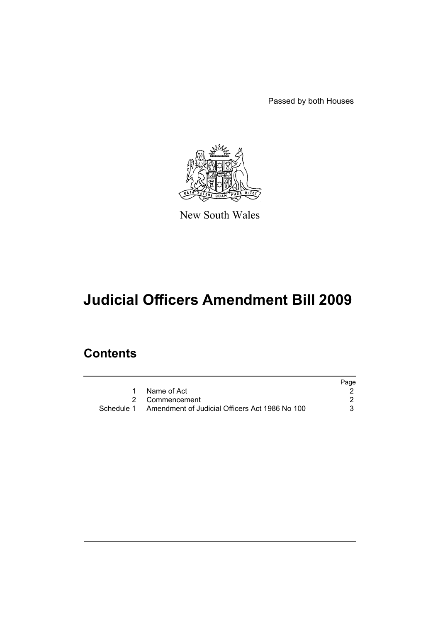Passed by both Houses



New South Wales

# **Judicial Officers Amendment Bill 2009**

# **Contents**

|                                                           | Page |
|-----------------------------------------------------------|------|
| Name of Act                                               |      |
| 2 Commencement                                            |      |
| Schedule 1 Amendment of Judicial Officers Act 1986 No 100 |      |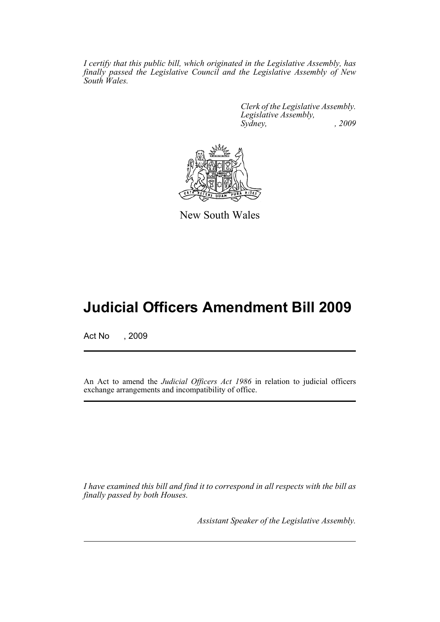*I certify that this public bill, which originated in the Legislative Assembly, has finally passed the Legislative Council and the Legislative Assembly of New South Wales.*

> *Clerk of the Legislative Assembly. Legislative Assembly, Sydney, , 2009*



New South Wales

# **Judicial Officers Amendment Bill 2009**

Act No , 2009

An Act to amend the *Judicial Officers Act 1986* in relation to judicial officers exchange arrangements and incompatibility of office.

*I have examined this bill and find it to correspond in all respects with the bill as finally passed by both Houses.*

*Assistant Speaker of the Legislative Assembly.*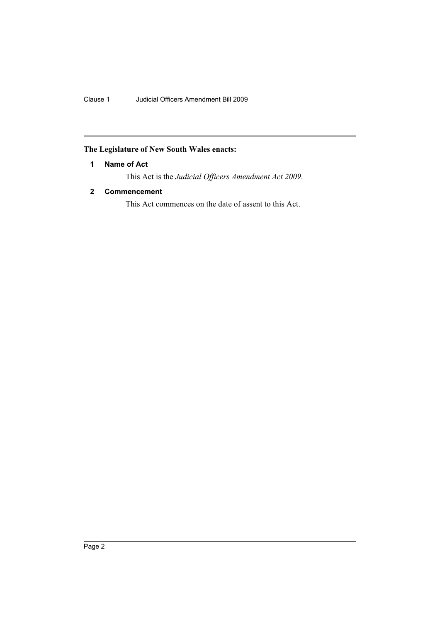Clause 1 Judicial Officers Amendment Bill 2009

# <span id="page-3-0"></span>**The Legislature of New South Wales enacts:**

# **1 Name of Act**

This Act is the *Judicial Officers Amendment Act 2009*.

# <span id="page-3-1"></span>**2 Commencement**

This Act commences on the date of assent to this Act.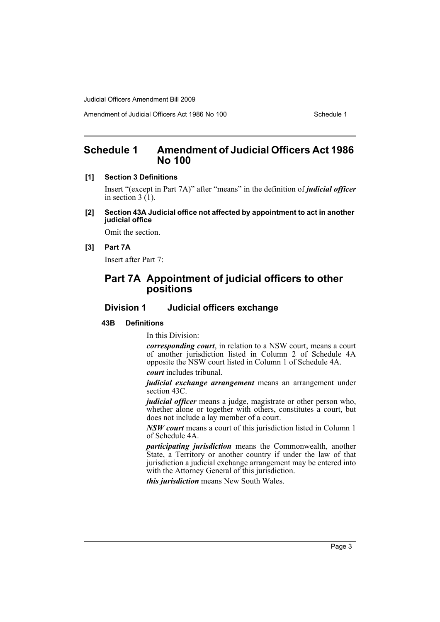Amendment of Judicial Officers Act 1986 No 100

# <span id="page-4-0"></span>**Schedule 1 Amendment of Judicial Officers Act 1986 No 100**

#### **[1] Section 3 Definitions**

Insert "(except in Part 7A)" after "means" in the definition of *judicial officer* in section  $3(1)$ .

**[2] Section 43A Judicial office not affected by appointment to act in another judicial office**

Omit the section.

## **[3] Part 7A**

Insert after Part 7:

# **Part 7A Appointment of judicial officers to other positions**

# **Division 1 Judicial officers exchange**

#### **43B Definitions**

In this Division:

*corresponding court*, in relation to a NSW court, means a court of another jurisdiction listed in Column 2 of Schedule 4A opposite the NSW court listed in Column 1 of Schedule 4A. *court* includes tribunal.

*judicial exchange arrangement* means an arrangement under section 43C.

*judicial officer* means a judge, magistrate or other person who, whether alone or together with others, constitutes a court, but does not include a lay member of a court.

*NSW court* means a court of this jurisdiction listed in Column 1 of Schedule 4A.

*participating jurisdiction* means the Commonwealth, another State, a Territory or another country if under the law of that jurisdiction a judicial exchange arrangement may be entered into with the Attorney General of this jurisdiction.

*this jurisdiction* means New South Wales.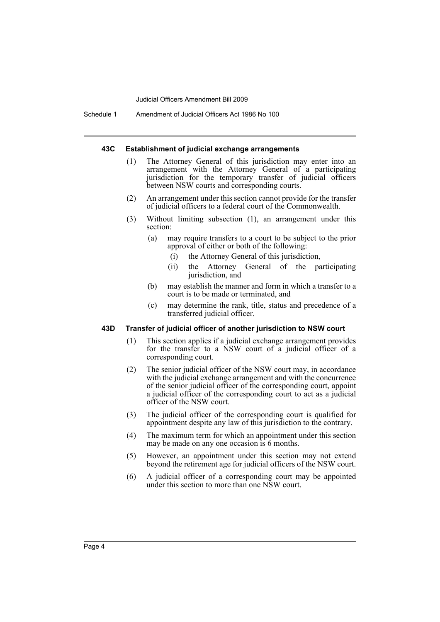Schedule 1 Amendment of Judicial Officers Act 1986 No 100

#### **43C Establishment of judicial exchange arrangements**

- (1) The Attorney General of this jurisdiction may enter into an arrangement with the Attorney General of a participating jurisdiction for the temporary transfer of judicial officers between NSW courts and corresponding courts.
- (2) An arrangement under this section cannot provide for the transfer of judicial officers to a federal court of the Commonwealth.
- (3) Without limiting subsection (1), an arrangement under this section:
	- (a) may require transfers to a court to be subject to the prior approval of either or both of the following:
		- (i) the Attorney General of this jurisdiction,
		- (ii) the Attorney General of the participating jurisdiction, and
	- (b) may establish the manner and form in which a transfer to a court is to be made or terminated, and
	- (c) may determine the rank, title, status and precedence of a transferred judicial officer.

#### **43D Transfer of judicial officer of another jurisdiction to NSW court**

- (1) This section applies if a judicial exchange arrangement provides for the transfer to a NSW court of a judicial officer of a corresponding court.
- (2) The senior judicial officer of the NSW court may, in accordance with the judicial exchange arrangement and with the concurrence of the senior judicial officer of the corresponding court, appoint a judicial officer of the corresponding court to act as a judicial officer of the NSW court.
- (3) The judicial officer of the corresponding court is qualified for appointment despite any law of this jurisdiction to the contrary.
- (4) The maximum term for which an appointment under this section may be made on any one occasion is 6 months.
- (5) However, an appointment under this section may not extend beyond the retirement age for judicial officers of the NSW court.
- (6) A judicial officer of a corresponding court may be appointed under this section to more than one NSW court.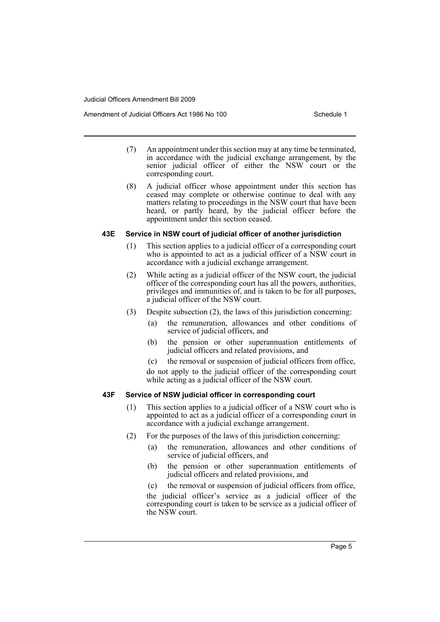Amendment of Judicial Officers Act 1986 No 100 Schedule 1

- (7) An appointment under this section may at any time be terminated, in accordance with the judicial exchange arrangement, by the senior judicial officer of either the NSW court or the corresponding court.
- (8) A judicial officer whose appointment under this section has ceased may complete or otherwise continue to deal with any matters relating to proceedings in the NSW court that have been heard, or partly heard, by the judicial officer before the appointment under this section ceased.

#### **43E Service in NSW court of judicial officer of another jurisdiction**

- (1) This section applies to a judicial officer of a corresponding court who is appointed to act as a judicial officer of a NSW court in accordance with a judicial exchange arrangement.
- (2) While acting as a judicial officer of the NSW court, the judicial officer of the corresponding court has all the powers, authorities, privileges and immunities of, and is taken to be for all purposes, a judicial officer of the NSW court.
- (3) Despite subsection (2), the laws of this jurisdiction concerning:
	- (a) the remuneration, allowances and other conditions of service of judicial officers, and
	- (b) the pension or other superannuation entitlements of judicial officers and related provisions, and
	- (c) the removal or suspension of judicial officers from office,

do not apply to the judicial officer of the corresponding court while acting as a judicial officer of the NSW court.

### **43F Service of NSW judicial officer in corresponding court**

- (1) This section applies to a judicial officer of a NSW court who is appointed to act as a judicial officer of a corresponding court in accordance with a judicial exchange arrangement.
- (2) For the purposes of the laws of this jurisdiction concerning:
	- (a) the remuneration, allowances and other conditions of service of judicial officers, and
	- (b) the pension or other superannuation entitlements of judicial officers and related provisions, and
	- (c) the removal or suspension of judicial officers from office,

the judicial officer's service as a judicial officer of the corresponding court is taken to be service as a judicial officer of the NSW court.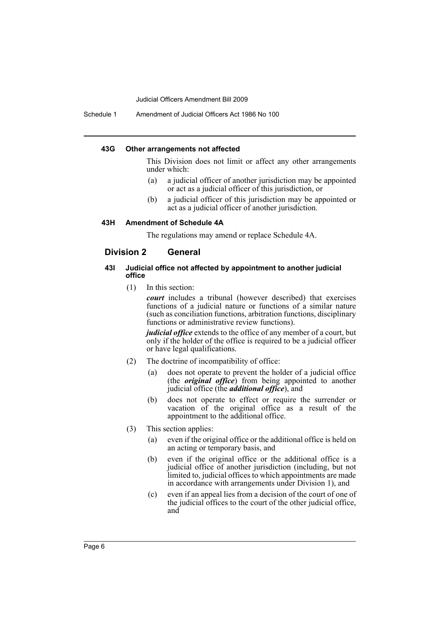Schedule 1 Amendment of Judicial Officers Act 1986 No 100

#### **43G Other arrangements not affected**

This Division does not limit or affect any other arrangements under which:

- (a) a judicial officer of another jurisdiction may be appointed or act as a judicial officer of this jurisdiction, or
- (b) a judicial officer of this jurisdiction may be appointed or act as a judicial officer of another jurisdiction.

## **43H Amendment of Schedule 4A**

The regulations may amend or replace Schedule 4A.

## **Division 2 General**

#### **43I Judicial office not affected by appointment to another judicial office**

(1) In this section:

*court* includes a tribunal (however described) that exercises functions of a judicial nature or functions of a similar nature (such as conciliation functions, arbitration functions, disciplinary functions or administrative review functions).

*judicial office* extends to the office of any member of a court, but only if the holder of the office is required to be a judicial officer or have legal qualifications.

- (2) The doctrine of incompatibility of office:
	- (a) does not operate to prevent the holder of a judicial office (the *original office*) from being appointed to another judicial office (the *additional office*), and
	- (b) does not operate to effect or require the surrender or vacation of the original office as a result of the appointment to the additional office.
- (3) This section applies:
	- (a) even if the original office or the additional office is held on an acting or temporary basis, and
	- (b) even if the original office or the additional office is a judicial office of another jurisdiction (including, but not limited to, judicial offices to which appointments are made in accordance with arrangements under Division 1), and
	- (c) even if an appeal lies from a decision of the court of one of the judicial offices to the court of the other judicial office, and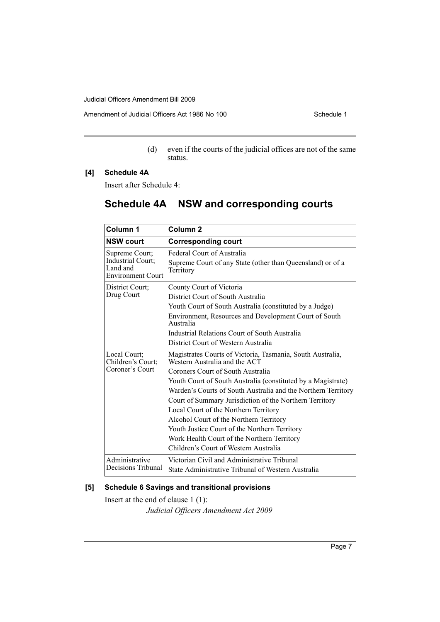Amendment of Judicial Officers Act 1986 No 100

(d) even if the courts of the judicial offices are not of the same status.

## **[4] Schedule 4A**

Insert after Schedule 4:

# **Schedule 4A NSW and corresponding courts**

| Column 1                                                                    | Column <sub>2</sub>                                                                                                                                                                      |
|-----------------------------------------------------------------------------|------------------------------------------------------------------------------------------------------------------------------------------------------------------------------------------|
| <b>NSW court</b>                                                            | <b>Corresponding court</b>                                                                                                                                                               |
| Supreme Court;<br>Industrial Court;<br>Land and<br><b>Environment Court</b> | Federal Court of Australia<br>Supreme Court of any State (other than Queensland) or of a<br>Territory                                                                                    |
| District Court;                                                             | County Court of Victoria                                                                                                                                                                 |
| Drug Court                                                                  | District Court of South Australia                                                                                                                                                        |
|                                                                             | Youth Court of South Australia (constituted by a Judge)                                                                                                                                  |
|                                                                             | Environment, Resources and Development Court of South<br>Australia                                                                                                                       |
|                                                                             | Industrial Relations Court of South Australia                                                                                                                                            |
|                                                                             | District Court of Western Australia                                                                                                                                                      |
| Local Court;<br>Children's Court;                                           | Magistrates Courts of Victoria, Tasmania, South Australia,<br>Western Australia and the ACT                                                                                              |
| Coroner's Court                                                             | Coroners Court of South Australia                                                                                                                                                        |
|                                                                             | Youth Court of South Australia (constituted by a Magistrate)<br>Warden's Courts of South Australia and the Northern Territory<br>Court of Summary Jurisdiction of the Northern Territory |
|                                                                             | Local Court of the Northern Territory<br>Alcohol Court of the Northern Territory                                                                                                         |
|                                                                             | Youth Justice Court of the Northern Territory                                                                                                                                            |
|                                                                             |                                                                                                                                                                                          |
|                                                                             | Work Health Court of the Northern Territory<br>Children's Court of Western Australia                                                                                                     |
|                                                                             |                                                                                                                                                                                          |
| Administrative<br>Decisions Tribunal                                        | Victorian Civil and Administrative Tribunal                                                                                                                                              |
|                                                                             | State Administrative Tribunal of Western Australia                                                                                                                                       |

# **[5] Schedule 6 Savings and transitional provisions**

Insert at the end of clause 1 (1):

*Judicial Officers Amendment Act 2009*